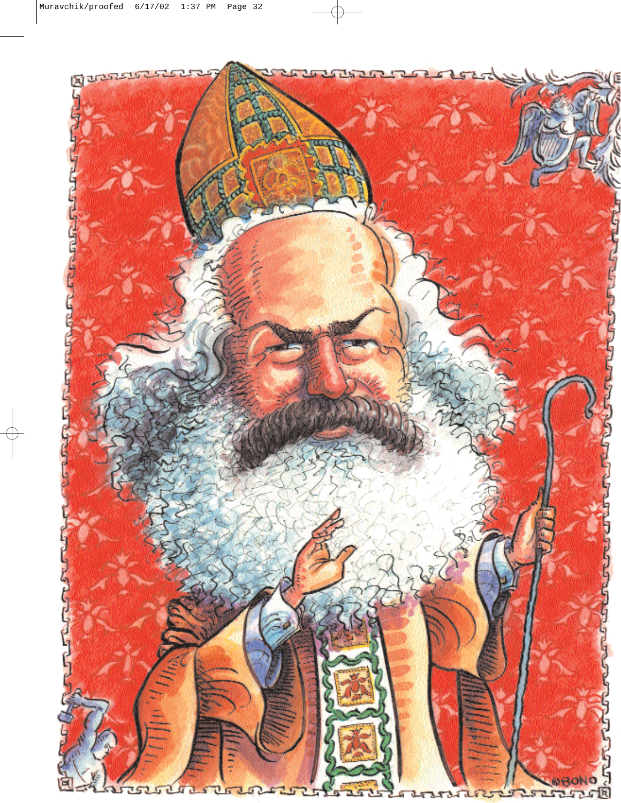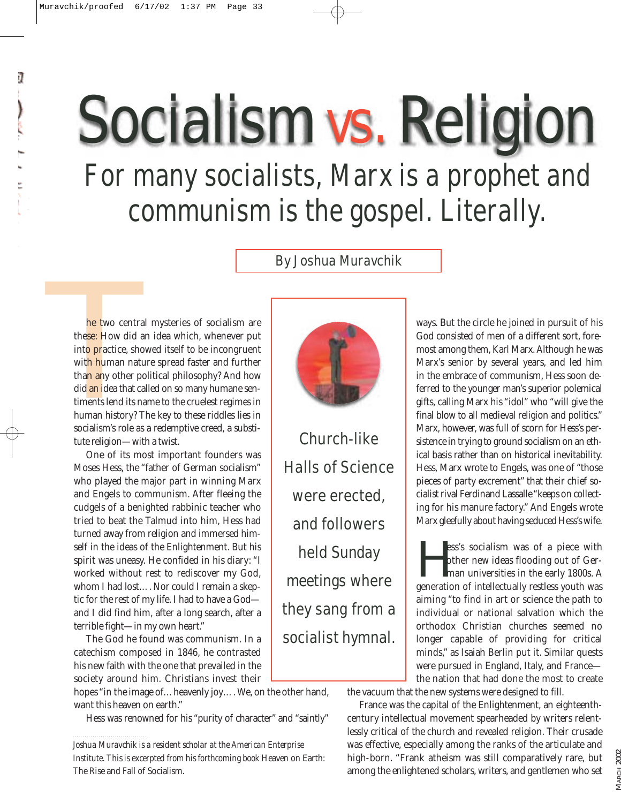## Socialism vs.Religion *For many socialists, Marx is a prophet and communism is the gospel. Literally.*

By Joshua Muravchik

**Example 18 Apple 18 Apple 18 Apple 18 Apple 18 Apple 18 Apple 18 Apple 18 Apple 18 Apple 18 Apple 18 Apple 18 Apple 18 Apple 18 Apple 18 Apple 18 Apple 18 Apple 18 Apple 18 Apple 18 Apple 18 Apple 18 Apple 18 Apple 18 App** he two central mysteries of socialism are these: How did an idea which, whenever put into practice, showed itself to be incongruent with human nature spread faster and further than any other political philosophy? And how did an idea that called on so many humane sentiments lend its name to the cruelest regimes in human history? The key to these riddles lies in socialism's role as a redemptive creed, a substitute religion—with a twist.

> One of its most important founders was Moses Hess, the "father of German socialism" who played the major part in winning Marx and Engels to communism. After fleeing the cudgels of a benighted rabbinic teacher who tried to beat the Talmud into him, Hess had turned away from religion and immersed himself in the ideas of the Enlightenment. But his spirit was uneasy. He confided in his diary: "I worked without rest to rediscover my God, whom I had lost…. Nor could I remain a skeptic for the rest of my life. I had to have a God and I did find him, after a long search, after a terrible fight—in my own heart."

> The God he found was communism. In a catechism composed in 1846, he contrasted his new faith with the one that prevailed in the society around him. Christians invest their

hopes "in the image of…heavenly joy…. We, on the other hand, want this heaven on earth."

Hess was renowned for his "purity of character" and "saintly"

*Joshua Muravchik is a resident scholar at the American Enterprise Institute. This is excerpted from his forthcoming book* Heaven on Earth: The Rise and Fall of Socialism.



Church-like Halls of Science were erected, and followers held Sunday meetings where they sang from a socialist hymnal. ways. But the circle he joined in pursuit of his God consisted of men of a different sort, foremost among them, Karl Marx. Although he was Marx's senior by several years, and led him in the embrace of communism, Hess soon deferred to the younger man's superior polemical gifts, calling Marx his "idol" who "will give the final blow to all medieval religion and politics." Marx, however, was full of scorn for Hess's persistence in trying to ground socialism on an ethical basis rather than on historical inevitability. Hess, Marx wrote to Engels, was one of "those pieces of party excrement" that their chief socialist rival Ferdinand Lassalle "keeps on collecting for his manure factory." And Engels wrote Marx gleefully about having seduced Hess's wife.

**Hess's socialism was of a piece with**<br>other new ideas flooding out of Ger-<br>man universities in the early 1800s. A other new ideas flooding out of Gergeneration of intellectually restless youth was aiming "to find in art or science the path to individual or national salvation which the orthodox Christian churches seemed no longer capable of providing for critical minds," as Isaiah Berlin put it. Similar quests were pursued in England, Italy, and France the nation that had done the most to create

the vacuum that the new systems were designed to fill.

France was the capital of the Enlightenment, an eighteenthcentury intellectual movement spearheaded by writers relentlessly critical of the church and revealed religion. Their crusade was effective, especially among the ranks of the articulate and high-born. "Frank atheism was still comparatively rare, but among the enlightened scholars, writers, and gentlemen who set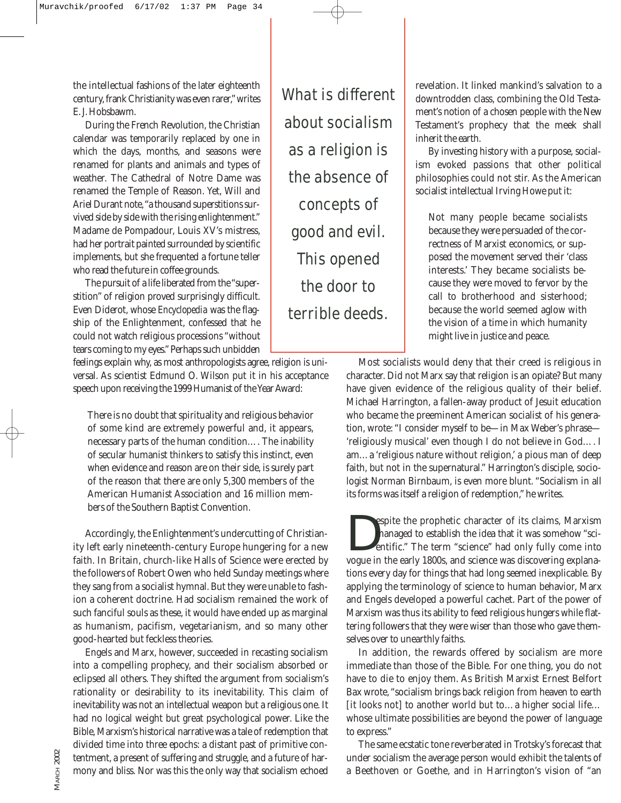the intellectual fashions of the later eighteenth century, frank Christianity was even rarer,"writes E. J. Hobsbawm.

During the French Revolution, the Christian calendar was temporarily replaced by one in which the days, months, and seasons were renamed for plants and animals and types of weather. The Cathedral of Notre Dame was renamed the Temple of Reason. Yet, Will and Ariel Durant note,"a thousand superstitions survived side by side with the rising enlightenment." Madame de Pompadour, Louis XV's mistress, had her portrait painted surrounded by scientific implements, but she frequented a fortune teller who read the future in coffee grounds.

The pursuit of a life liberated from the "superstition" of religion proved surprisingly difficult. Even Diderot, whose *Encyclopedia* was the flagship of the Enlightenment, confessed that he could not watch religious processions "without tears coming to my eyes." Perhaps such unbidden

feelings explain why, as most anthropologists agree, religion is universal. As scientist Edmund O. Wilson put it in his acceptance speech upon receiving the 1999 Humanist of the Year Award:

There is no doubt that spirituality and religious behavior of some kind are extremely powerful and, it appears, necessary parts of the human condition…. The inability of secular humanist thinkers to satisfy this instinct, even when evidence and reason are on their side, is surely part of the reason that there are only 5,300 members of the American Humanist Association and 16 million members of the Southern Baptist Convention.

Accordingly, the Enlightenment's undercutting of Christianity left early nineteenth-century Europe hungering for a new faith. In Britain, church-like Halls of Science were erected by the followers of Robert Owen who held Sunday meetings where they sang from a socialist hymnal. But they were unable to fashion a coherent doctrine. Had socialism remained the work of such fanciful souls as these, it would have ended up as marginal as humanism, pacifism, vegetarianism, and so many other good-hearted but feckless theories.

Engels and Marx, however, succeeded in recasting socialism into a compelling prophecy, and their socialism absorbed or eclipsed all others. They shifted the argument from socialism's rationality or desirability to its inevitability. This claim of inevitability was not an intellectual weapon but a religious one. It had no logical weight but great psychological power. Like the Bible, Marxism's historical narrative was a tale of redemption that divided time into three epochs: a distant past of primitive contentment, a present of suffering and struggle, and a future of harmony and bliss. Nor was this the only way that socialism echoed

What is different about socialism as a religion is the absence of concepts of good and evil. This opened the door to terrible deeds.

revelation. It linked mankind's salvation to a downtrodden class, combining the Old Testament's notion of a chosen people with the New Testament's prophecy that the meek shall inherit the earth.

By investing history with a purpose, socialism evoked passions that other political philosophies could not stir. As the American socialist intellectual Irving Howe put it:

Not many people became socialists because they were persuaded of the correctness of Marxist economics, or supposed the movement served their 'class interests.' They became socialists because they were moved to fervor by the call to brotherhood and sisterhood; because the world seemed aglow with the vision of a time in which humanity might live in justice and peace.

Most socialists would deny that their creed is religious in character. Did not Marx say that religion is an opiate? But many have given evidence of the religious quality of their belief. Michael Harrington, a fallen-away product of Jesuit education who became the preeminent American socialist of his generation, wrote: "I consider myself to be—in Max Weber's phrase— 'religiously musical' even though I do not believe in God…. I am…a 'religious nature without religion,' a pious man of deep faith, but not in the supernatural." Harrington's disciple, sociologist Norman Birnbaum, is even more blunt. "Socialism in all its forms was itself a religion of redemption," he writes.

**Example 1999** Spite the prophetic character of its claims, Marxism managed to establish the idea that it was somehow "sciencity". The term "science" had only fully come into managed to establish the idea that it was somehow "scivogue in the early 1800s, and science was discovering explanations every day for things that had long seemed inexplicable. By applying the terminology of science to human behavior, Marx and Engels developed a powerful cachet. Part of the power of Marxism was thus its ability to feed religious hungers while flattering followers that they were wiser than those who gave themselves over to unearthly faiths.

In addition, the rewards offered by socialism are more immediate than those of the Bible. For one thing, you do not have to die to enjoy them. As British Marxist Ernest Belfort Bax wrote, "socialism brings back religion from heaven to earth [it looks not] to another world but to…a higher social life… whose ultimate possibilities are beyond the power of language to express."

The same ecstatic tone reverberated in Trotsky's forecast that under socialism the average person would exhibit the talents of a Beethoven or Goethe, and in Harrington's vision of "an